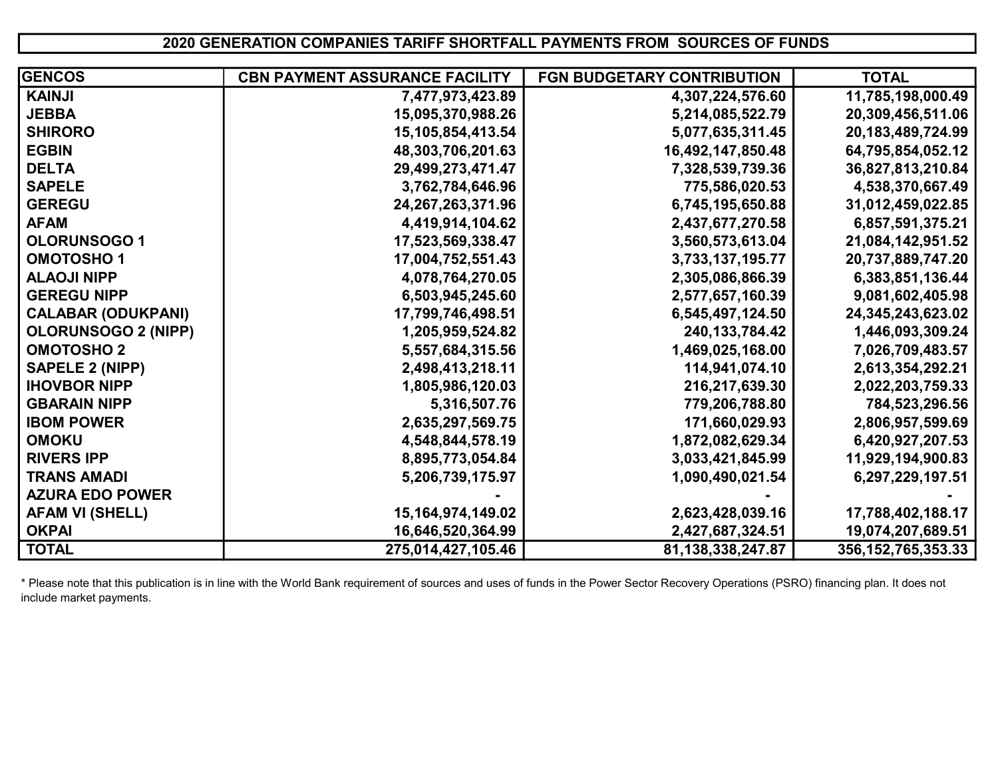## 2020 GENERATION COMPANIES TARIFF SHORTFALL PAYMENTS FROM SOURCES OF FUNDS

| <b>GENCOS</b>              | <b>CBN PAYMENT ASSURANCE FACILITY</b> | FGN BUDGETARY CONTRIBUTION | <b>TOTAL</b>           |
|----------------------------|---------------------------------------|----------------------------|------------------------|
| <b>KAINJI</b>              | 7,477,973,423.89                      | 4,307,224,576.60           | 11,785,198,000.49      |
| <b>JEBBA</b>               | 15,095,370,988.26                     | 5,214,085,522.79           | 20,309,456,511.06      |
| <b>SHIRORO</b>             | 15,105,854,413.54                     | 5,077,635,311.45           | 20,183,489,724.99      |
| <b>EGBIN</b>               | 48,303,706,201.63                     | 16,492,147,850.48          | 64,795,854,052.12      |
| <b>DELTA</b>               | 29,499,273,471.47                     | 7,328,539,739.36           | 36,827,813,210.84      |
| <b>SAPELE</b>              | 3,762,784,646.96                      | 775,586,020.53             | 4,538,370,667.49       |
| <b>GEREGU</b>              | 24,267,263,371.96                     | 6,745,195,650.88           | 31,012,459,022.85      |
| <b>AFAM</b>                | 4,419,914,104.62                      | 2,437,677,270.58           | 6,857,591,375.21       |
| <b>OLORUNSOGO1</b>         | 17,523,569,338.47                     | 3,560,573,613.04           | 21,084,142,951.52      |
| <b>OMOTOSHO1</b>           | 17,004,752,551.43                     | 3,733,137,195.77           | 20,737,889,747.20      |
| <b>ALAOJI NIPP</b>         | 4,078,764,270.05                      | 2,305,086,866.39           | 6,383,851,136.44       |
| <b>GEREGU NIPP</b>         | 6,503,945,245.60                      | 2,577,657,160.39           | 9,081,602,405.98       |
| <b>CALABAR (ODUKPANI)</b>  | 17,799,746,498.51                     | 6,545,497,124.50           | 24, 345, 243, 623. 02  |
| <b>OLORUNSOGO 2 (NIPP)</b> | 1,205,959,524.82                      | 240, 133, 784. 42          | 1,446,093,309.24       |
| <b>OMOTOSHO 2</b>          | 5,557,684,315.56                      | 1,469,025,168.00           | 7,026,709,483.57       |
| <b>SAPELE 2 (NIPP)</b>     | 2,498,413,218.11                      | 114,941,074.10             | 2,613,354,292.21       |
| <b>IHOVBOR NIPP</b>        | 1,805,986,120.03                      | 216,217,639.30             | 2,022,203,759.33       |
| <b>GBARAIN NIPP</b>        | 5,316,507.76                          | 779,206,788.80             | 784,523,296.56         |
| <b>IBOM POWER</b>          | 2,635,297,569.75                      | 171,660,029.93             | 2,806,957,599.69       |
| <b>OMOKU</b>               | 4,548,844,578.19                      | 1,872,082,629.34           | 6,420,927,207.53       |
| <b>RIVERS IPP</b>          | 8,895,773,054.84                      | 3,033,421,845.99           | 11,929,194,900.83      |
| <b>TRANS AMADI</b>         | 5,206,739,175.97                      | 1,090,490,021.54           | 6,297,229,197.51       |
| <b>AZURA EDO POWER</b>     |                                       |                            |                        |
| <b>AFAM VI (SHELL)</b>     | 15, 164, 974, 149.02                  | 2,623,428,039.16           | 17,788,402,188.17      |
| <b>OKPAI</b>               | 16,646,520,364.99                     | 2,427,687,324.51           | 19,074,207,689.51      |
| <b>TOTAL</b>               | 275,014,427,105.46                    | 81,138,338,247.87          | 356, 152, 765, 353. 33 |

\* Please note that this publication is in line with the World Bank requirement of sources and uses of funds in the Power Sector Recovery Operations (PSRO) financing plan. It does not include market payments.